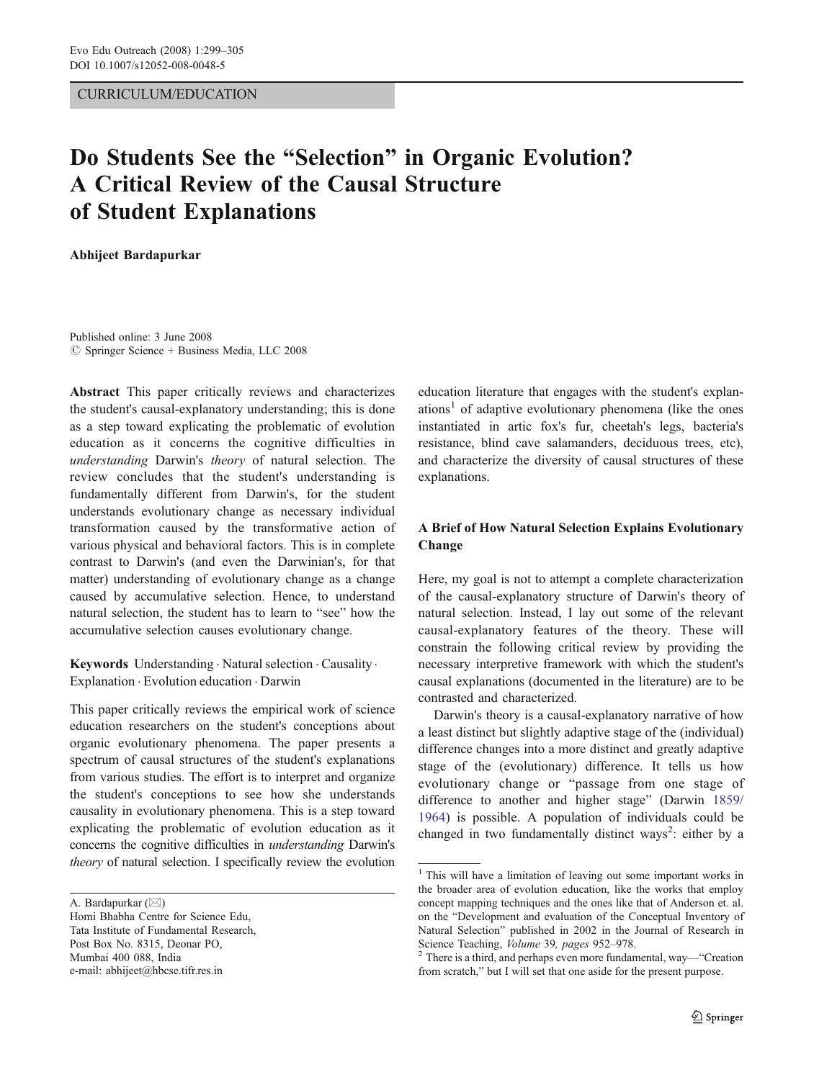#### CURRICULUM/EDUCATION

# Do Students See the "Selection" in Organic Evolution? A Critical Review of the Causal Structure of Student Explanations

Abhijeet Bardapurkar

Published online: 3 June 2008  $\circ$  Springer Science + Business Media, LLC 2008

Abstract This paper critically reviews and characterizes the student's causal-explanatory understanding; this is done as a step toward explicating the problematic of evolution education as it concerns the cognitive difficulties in understanding Darwin's theory of natural selection. The review concludes that the student's understanding is fundamentally different from Darwin's, for the student understands evolutionary change as necessary individual transformation caused by the transformative action of various physical and behavioral factors. This is in complete contrast to Darwin's (and even the Darwinian's, for that matter) understanding of evolutionary change as a change caused by accumulative selection. Hence, to understand natural selection, the student has to learn to "see" how the accumulative selection causes evolutionary change.

Keywords Understanding . Natural selection . Causality . Explanation . Evolution education . Darwin

This paper critically reviews the empirical work of science education researchers on the student's conceptions about organic evolutionary phenomena. The paper presents a spectrum of causal structures of the student's explanations from various studies. The effort is to interpret and organize the student's conceptions to see how she understands causality in evolutionary phenomena. This is a step toward explicating the problematic of evolution education as it concerns the cognitive difficulties in understanding Darwin's theory of natural selection. I specifically review the evolution

education literature that engages with the student's explan- $\text{ations}^1$  of adaptive evolutionary phenomena (like the ones instantiated in artic fox's fur, cheetah's legs, bacteria's resistance, blind cave salamanders, deciduous trees, etc), and characterize the diversity of causal structures of these explanations.

## A Brief of How Natural Selection Explains Evolutionary Change

Here, my goal is not to attempt a complete characterization of the causal-explanatory structure of Darwin's theory of natural selection. Instead, I lay out some of the relevant causal-explanatory features of the theory. These will constrain the following critical review by providing the necessary interpretive framework with which the student's causal explanations (documented in the literature) are to be contrasted and characterized.

Darwin's theory is a causal-explanatory narrative of how a least distinct but slightly adaptive stage of the (individual) difference changes into a more distinct and greatly adaptive stage of the (evolutionary) difference. It tells us how evolutionary change or "passage from one stage of difference to another and higher stage" (Darwin [1859/](#page-6-0) [1964](#page-6-0)) is possible. A population of individuals could be changed in two fundamentally distinct ways<sup>2</sup>: either by a

A. Bardapurkar ( $\boxtimes$ )

Homi Bhabha Centre for Science Edu, Tata Institute of Fundamental Research, Post Box No. 8315, Deonar PO, Mumbai 400 088, India e-mail: abhijeet@hbcse.tifr.res.in

<sup>&</sup>lt;sup>1</sup> This will have a limitation of leaving out some important works in the broader area of evolution education, like the works that employ concept mapping techniques and the ones like that of Anderson et. al. on the "Development and evaluation of the Conceptual Inventory of Natural Selection" published in 2002 in the Journal of Research in Science Teaching, *Volume* 39, pages 952–978.

<sup>&</sup>lt;sup>2</sup> There is a third, and perhaps even more fundamental, way—"Creation from scratch," but I will set that one aside for the present purpose.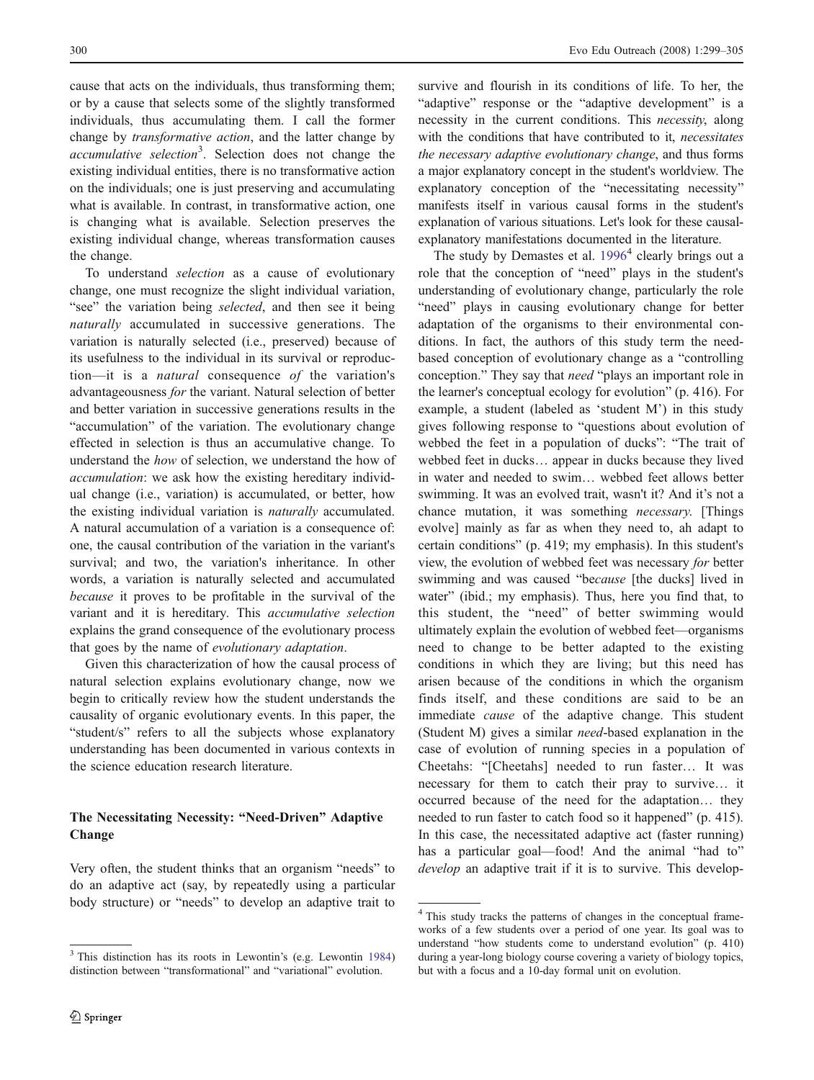cause that acts on the individuals, thus transforming them; or by a cause that selects some of the slightly transformed individuals, thus accumulating them. I call the former change by transformative action, and the latter change by accumulative selection<sup>3</sup>. Selection does not change the existing individual entities, there is no transformative action on the individuals; one is just preserving and accumulating what is available. In contrast, in transformative action, one is changing what is available. Selection preserves the existing individual change, whereas transformation causes the change.

To understand selection as a cause of evolutionary change, one must recognize the slight individual variation, "see" the variation being *selected*, and then see it being naturally accumulated in successive generations. The variation is naturally selected (i.e., preserved) because of its usefulness to the individual in its survival or reproduction—it is a natural consequence of the variation's advantageousness for the variant. Natural selection of better and better variation in successive generations results in the "accumulation" of the variation. The evolutionary change effected in selection is thus an accumulative change. To understand the how of selection, we understand the how of accumulation: we ask how the existing hereditary individual change (i.e., variation) is accumulated, or better, how the existing individual variation is naturally accumulated. A natural accumulation of a variation is a consequence of: one, the causal contribution of the variation in the variant's survival; and two, the variation's inheritance. In other words, a variation is naturally selected and accumulated because it proves to be profitable in the survival of the variant and it is hereditary. This accumulative selection explains the grand consequence of the evolutionary process that goes by the name of evolutionary adaptation.

Given this characterization of how the causal process of natural selection explains evolutionary change, now we begin to critically review how the student understands the causality of organic evolutionary events. In this paper, the "student/s" refers to all the subjects whose explanatory understanding has been documented in various contexts in the science education research literature.

### The Necessitating Necessity: "Need-Driven" Adaptive Change

Very often, the student thinks that an organism "needs" to do an adaptive act (say, by repeatedly using a particular body structure) or "needs" to develop an adaptive trait to

survive and flourish in its conditions of life. To her, the "adaptive" response or the "adaptive development" is a necessity in the current conditions. This necessity, along with the conditions that have contributed to it, *necessitates* the necessary adaptive evolutionary change, and thus forms a major explanatory concept in the student's worldview. The explanatory conception of the "necessitating necessity" manifests itself in various causal forms in the student's explanation of various situations. Let's look for these causalexplanatory manifestations documented in the literature.

The study by Demastes et al.  $1996<sup>4</sup>$  $1996<sup>4</sup>$  clearly brings out a role that the conception of "need" plays in the student's understanding of evolutionary change, particularly the role "need" plays in causing evolutionary change for better adaptation of the organisms to their environmental conditions. In fact, the authors of this study term the needbased conception of evolutionary change as a "controlling conception." They say that need "plays an important role in the learner's conceptual ecology for evolution" (p. 416). For example, a student (labeled as 'student M') in this study gives following response to "questions about evolution of webbed the feet in a population of ducks": "The trait of webbed feet in ducks… appear in ducks because they lived in water and needed to swim… webbed feet allows better swimming. It was an evolved trait, wasn't it? And it's not a chance mutation, it was something necessary. [Things evolve] mainly as far as when they need to, ah adapt to certain conditions" (p. 419; my emphasis). In this student's view, the evolution of webbed feet was necessary for better swimming and was caused "because [the ducks] lived in water" (ibid.; my emphasis). Thus, here you find that, to this student, the "need" of better swimming would ultimately explain the evolution of webbed feet—organisms need to change to be better adapted to the existing conditions in which they are living; but this need has arisen because of the conditions in which the organism finds itself, and these conditions are said to be an immediate cause of the adaptive change. This student (Student M) gives a similar need-based explanation in the case of evolution of running species in a population of Cheetahs: "[Cheetahs] needed to run faster… It was necessary for them to catch their pray to survive… it occurred because of the need for the adaptation… they needed to run faster to catch food so it happened" (p. 415). In this case, the necessitated adaptive act (faster running) has a particular goal—food! And the animal "had to" develop an adaptive trait if it is to survive. This develop-

<sup>3</sup> This distinction has its roots in Lewontin's (e.g. Lewontin [1984](#page-6-0)) distinction between "transformational" and "variational" evolution.

<sup>4</sup> This study tracks the patterns of changes in the conceptual frameworks of a few students over a period of one year. Its goal was to understand "how students come to understand evolution" (p. 410) during a year-long biology course covering a variety of biology topics, but with a focus and a 10-day formal unit on evolution.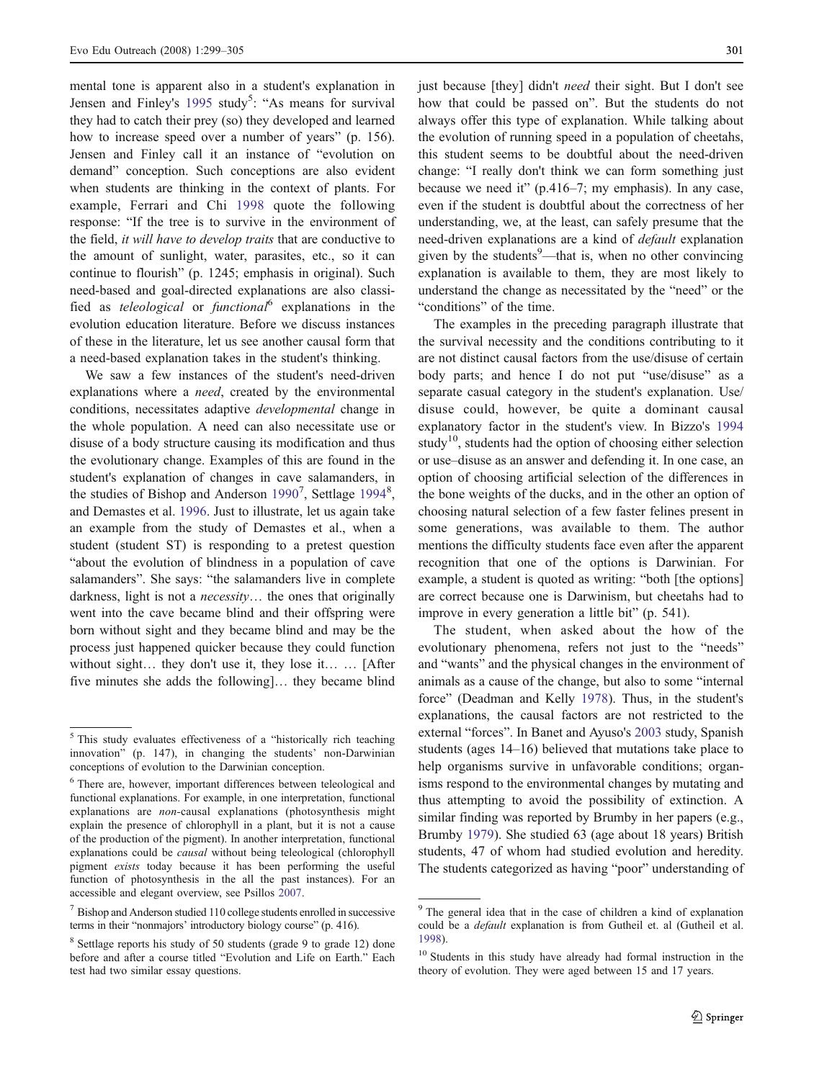mental tone is apparent also in a student's explanation in Jensen and Finley's [1995](#page-6-0) study<sup>5</sup>: "As means for survival they had to catch their prey (so) they developed and learned how to increase speed over a number of years" (p. 156). Jensen and Finley call it an instance of "evolution on demand" conception. Such conceptions are also evident when students are thinking in the context of plants. For example, Ferrari and Chi [1998](#page-6-0) quote the following response: "If the tree is to survive in the environment of the field, it will have to develop traits that are conductive to the amount of sunlight, water, parasites, etc., so it can continue to flourish" (p. 1245; emphasis in original). Such need-based and goal-directed explanations are also classified as *teleological* or *functional* explanations in the evolution education literature. Before we discuss instances of these in the literature, let us see another causal form that a need-based explanation takes in the student's thinking.

We saw a few instances of the student's need-driven explanations where a need, created by the environmental conditions, necessitates adaptive developmental change in the whole population. A need can also necessitate use or disuse of a body structure causing its modification and thus the evolutionary change. Examples of this are found in the student's explanation of changes in cave salamanders, in the studies of Bishop and Anderson [1990](#page-6-0)<sup>7</sup>, Settlage [1994](#page-6-0)<sup>8</sup>, and Demastes et al. [1996](#page-6-0). Just to illustrate, let us again take an example from the study of Demastes et al., when a student (student ST) is responding to a pretest question "about the evolution of blindness in a population of cave salamanders". She says: "the salamanders live in complete darkness, light is not a *necessity*... the ones that originally went into the cave became blind and their offspring were born without sight and they became blind and may be the process just happened quicker because they could function without sight… they don't use it, they lose it… … [After five minutes she adds the following]… they became blind just because [they] didn't *need* their sight. But I don't see how that could be passed on". But the students do not always offer this type of explanation. While talking about the evolution of running speed in a population of cheetahs, this student seems to be doubtful about the need-driven change: "I really don't think we can form something just because we need it" (p.416–7; my emphasis). In any case, even if the student is doubtful about the correctness of her understanding, we, at the least, can safely presume that the need-driven explanations are a kind of default explanation given by the students<sup>9</sup>—that is, when no other convincing explanation is available to them, they are most likely to understand the change as necessitated by the "need" or the "conditions" of the time.

The examples in the preceding paragraph illustrate that the survival necessity and the conditions contributing to it are not distinct causal factors from the use/disuse of certain body parts; and hence I do not put "use/disuse" as a separate casual category in the student's explanation. Use/ disuse could, however, be quite a dominant causal explanatory factor in the student's view. In Bizzo's [1994](#page-6-0) study<sup>10</sup>, students had the option of choosing either selection or use–disuse as an answer and defending it. In one case, an option of choosing artificial selection of the differences in the bone weights of the ducks, and in the other an option of choosing natural selection of a few faster felines present in some generations, was available to them. The author mentions the difficulty students face even after the apparent recognition that one of the options is Darwinian. For example, a student is quoted as writing: "both [the options] are correct because one is Darwinism, but cheetahs had to improve in every generation a little bit" (p. 541).

The student, when asked about the how of the evolutionary phenomena, refers not just to the "needs" and "wants" and the physical changes in the environment of animals as a cause of the change, but also to some "internal force" (Deadman and Kelly [1978](#page-6-0)). Thus, in the student's explanations, the causal factors are not restricted to the external "forces". In Banet and Ayuso's [2003](#page-6-0) study, Spanish students (ages 14–16) believed that mutations take place to help organisms survive in unfavorable conditions; organisms respond to the environmental changes by mutating and thus attempting to avoid the possibility of extinction. A similar finding was reported by Brumby in her papers (e.g., Brumby [1979\)](#page-6-0). She studied 63 (age about 18 years) British students, 47 of whom had studied evolution and heredity. The students categorized as having "poor" understanding of

<sup>5</sup> This study evaluates effectiveness of a "historically rich teaching innovation" (p. 147), in changing the students' non-Darwinian conceptions of evolution to the Darwinian conception.

<sup>6</sup> There are, however, important differences between teleological and functional explanations. For example, in one interpretation, functional explanations are non-causal explanations (photosynthesis might explain the presence of chlorophyll in a plant, but it is not a cause of the production of the pigment). In another interpretation, functional explanations could be causal without being teleological (chlorophyll pigment exists today because it has been performing the useful function of photosynthesis in the all the past instances). For an accessible and elegant overview, see Psillos [2007.](#page-6-0)

 $7$  Bishop and Anderson studied 110 college students enrolled in successive terms in their "nonmajors' introductory biology course" (p. 416).

 $8$  Settlage reports his study of 50 students (grade 9 to grade 12) done before and after a course titled "Evolution and Life on Earth." Each test had two similar essay questions.

<sup>&</sup>lt;sup>9</sup> The general idea that in the case of children a kind of explanation could be a default explanation is from Gutheil et. al (Gutheil et al. [1998](#page-6-0)).

<sup>&</sup>lt;sup>10</sup> Students in this study have already had formal instruction in the theory of evolution. They were aged between 15 and 17 years.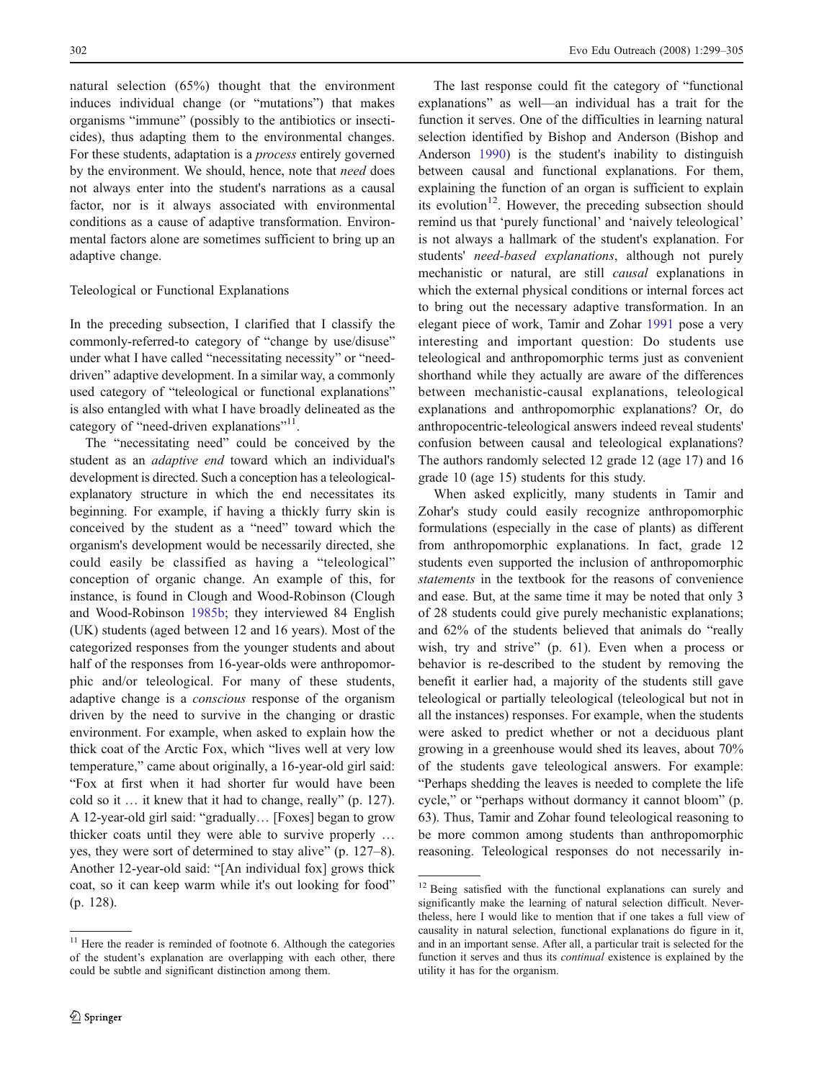<span id="page-3-0"></span>natural selection (65%) thought that the environment induces individual change (or "mutations") that makes organisms "immune" (possibly to the antibiotics or insecticides), thus adapting them to the environmental changes. For these students, adaptation is a process entirely governed by the environment. We should, hence, note that need does not always enter into the student's narrations as a causal factor, nor is it always associated with environmental conditions as a cause of adaptive transformation. Environmental factors alone are sometimes sufficient to bring up an adaptive change.

#### Teleological or Functional Explanations

In the preceding subsection, I clarified that I classify the commonly-referred-to category of "change by use/disuse" under what I have called "necessitating necessity" or "needdriven" adaptive development. In a similar way, a commonly used category of "teleological or functional explanations" is also entangled with what I have broadly delineated as the category of "need-driven explanations"<sup>11</sup>.

The "necessitating need" could be conceived by the student as an adaptive end toward which an individual's development is directed. Such a conception has a teleologicalexplanatory structure in which the end necessitates its beginning. For example, if having a thickly furry skin is conceived by the student as a "need" toward which the organism's development would be necessarily directed, she could easily be classified as having a "teleological" conception of organic change. An example of this, for instance, is found in Clough and Wood-Robinson (Clough and Wood-Robinson [1985b](#page-6-0); they interviewed 84 English (UK) students (aged between 12 and 16 years). Most of the categorized responses from the younger students and about half of the responses from 16-year-olds were anthropomorphic and/or teleological. For many of these students, adaptive change is a conscious response of the organism driven by the need to survive in the changing or drastic environment. For example, when asked to explain how the thick coat of the Arctic Fox, which "lives well at very low temperature," came about originally, a 16-year-old girl said: "Fox at first when it had shorter fur would have been cold so it … it knew that it had to change, really" (p. 127). A 12-year-old girl said: "gradually… [Foxes] began to grow thicker coats until they were able to survive properly … yes, they were sort of determined to stay alive" (p. 127–8). Another 12-year-old said: "[An individual fox] grows thick coat, so it can keep warm while it's out looking for food" (p. 128).

The last response could fit the category of "functional explanations" as well—an individual has a trait for the function it serves. One of the difficulties in learning natural selection identified by Bishop and Anderson (Bishop and Anderson [1990](#page-6-0)) is the student's inability to distinguish between causal and functional explanations. For them, explaining the function of an organ is sufficient to explain its evolution<sup>12</sup>. However, the preceding subsection should remind us that 'purely functional' and 'naively teleological' is not always a hallmark of the student's explanation. For students' need-based explanations, although not purely mechanistic or natural, are still causal explanations in which the external physical conditions or internal forces act to bring out the necessary adaptive transformation. In an elegant piece of work, Tamir and Zohar [1991](#page-6-0) pose a very interesting and important question: Do students use teleological and anthropomorphic terms just as convenient shorthand while they actually are aware of the differences between mechanistic-causal explanations, teleological explanations and anthropomorphic explanations? Or, do anthropocentric-teleological answers indeed reveal students' confusion between causal and teleological explanations? The authors randomly selected 12 grade 12 (age 17) and 16 grade 10 (age 15) students for this study.

When asked explicitly, many students in Tamir and Zohar's study could easily recognize anthropomorphic formulations (especially in the case of plants) as different from anthropomorphic explanations. In fact, grade 12 students even supported the inclusion of anthropomorphic statements in the textbook for the reasons of convenience and ease. But, at the same time it may be noted that only 3 of 28 students could give purely mechanistic explanations; and 62% of the students believed that animals do "really wish, try and strive" (p. 61). Even when a process or behavior is re-described to the student by removing the benefit it earlier had, a majority of the students still gave teleological or partially teleological (teleological but not in all the instances) responses. For example, when the students were asked to predict whether or not a deciduous plant growing in a greenhouse would shed its leaves, about 70% of the students gave teleological answers. For example: "Perhaps shedding the leaves is needed to complete the life cycle," or "perhaps without dormancy it cannot bloom" (p. 63). Thus, Tamir and Zohar found teleological reasoning to be more common among students than anthropomorphic reasoning. Teleological responses do not necessarily in-

 $11$  Here the reader is reminded of footnote 6. Although the categories of the student's explanation are overlapping with each other, there could be subtle and significant distinction among them.

<sup>&</sup>lt;sup>12</sup> Being satisfied with the functional explanations can surely and significantly make the learning of natural selection difficult. Nevertheless, here I would like to mention that if one takes a full view of causality in natural selection, functional explanations do figure in it, and in an important sense. After all, a particular trait is selected for the function it serves and thus its continual existence is explained by the utility it has for the organism.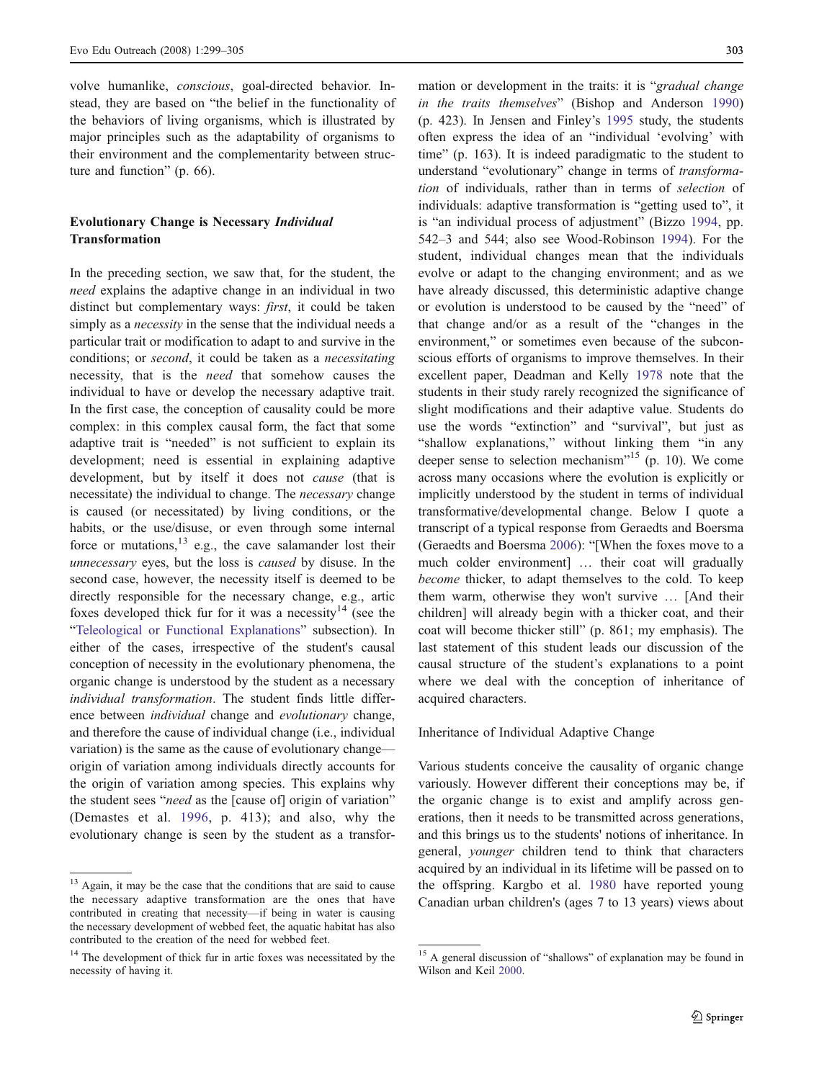volve humanlike, conscious, goal-directed behavior. Instead, they are based on "the belief in the functionality of the behaviors of living organisms, which is illustrated by major principles such as the adaptability of organisms to their environment and the complementarity between structure and function" (p. 66).

## Evolutionary Change is Necessary Individual Transformation

In the preceding section, we saw that, for the student, the need explains the adaptive change in an individual in two distinct but complementary ways: *first*, it could be taken simply as a *necessity* in the sense that the individual needs a particular trait or modification to adapt to and survive in the conditions; or second, it could be taken as a necessitating necessity, that is the need that somehow causes the individual to have or develop the necessary adaptive trait. In the first case, the conception of causality could be more complex: in this complex causal form, the fact that some adaptive trait is "needed" is not sufficient to explain its development; need is essential in explaining adaptive development, but by itself it does not cause (that is necessitate) the individual to change. The necessary change is caused (or necessitated) by living conditions, or the habits, or the use/disuse, or even through some internal force or mutations,  $^{13}$  e.g., the cave salamander lost their unnecessary eyes, but the loss is caused by disuse. In the second case, however, the necessity itself is deemed to be directly responsible for the necessary change, e.g., artic foxes developed thick fur for it was a necessity<sup>14</sup> (see the "[Teleological or Functional Explanations](#page-3-0)" subsection). In either of the cases, irrespective of the student's causal conception of necessity in the evolutionary phenomena, the organic change is understood by the student as a necessary individual transformation. The student finds little difference between individual change and evolutionary change, and therefore the cause of individual change (i.e., individual variation) is the same as the cause of evolutionary change origin of variation among individuals directly accounts for the origin of variation among species. This explains why the student sees "need as the [cause of] origin of variation" (Demastes et al. [1996,](#page-6-0) p. 413); and also, why the evolutionary change is seen by the student as a transformation or development in the traits: it is "gradual change in the traits themselves" (Bishop and Anderson [1990](#page-6-0)) (p. 423). In Jensen and Finley's [1995](#page-6-0) study, the students often express the idea of an "individual 'evolving' with time" (p. 163). It is indeed paradigmatic to the student to understand "evolutionary" change in terms of transformation of individuals, rather than in terms of selection of individuals: adaptive transformation is "getting used to", it is "an individual process of adjustment" (Bizzo [1994](#page-6-0), pp. 542–3 and 544; also see Wood-Robinson [1994\)](#page-6-0). For the student, individual changes mean that the individuals evolve or adapt to the changing environment; and as we have already discussed, this deterministic adaptive change or evolution is understood to be caused by the "need" of that change and/or as a result of the "changes in the environment," or sometimes even because of the subconscious efforts of organisms to improve themselves. In their excellent paper, Deadman and Kelly [1978](#page-6-0) note that the students in their study rarely recognized the significance of slight modifications and their adaptive value. Students do use the words "extinction" and "survival", but just as "shallow explanations," without linking them "in any deeper sense to selection mechanism"<sup>15</sup> (p. 10). We come across many occasions where the evolution is explicitly or implicitly understood by the student in terms of individual transformative/developmental change. Below I quote a transcript of a typical response from Geraedts and Boersma (Geraedts and Boersma [2006](#page-6-0)): "[When the foxes move to a much colder environment] … their coat will gradually become thicker, to adapt themselves to the cold. To keep them warm, otherwise they won't survive … [And their children] will already begin with a thicker coat, and their coat will become thicker still" (p. 861; my emphasis). The last statement of this student leads our discussion of the causal structure of the student's explanations to a point where we deal with the conception of inheritance of acquired characters.

#### Inheritance of Individual Adaptive Change

Various students conceive the causality of organic change variously. However different their conceptions may be, if the organic change is to exist and amplify across generations, then it needs to be transmitted across generations, and this brings us to the students' notions of inheritance. In general, younger children tend to think that characters acquired by an individual in its lifetime will be passed on to the offspring. Kargbo et al. [1980](#page-6-0) have reported young Canadian urban children's (ages 7 to 13 years) views about

<sup>&</sup>lt;sup>13</sup> Again, it may be the case that the conditions that are said to cause the necessary adaptive transformation are the ones that have contributed in creating that necessity—if being in water is causing the necessary development of webbed feet, the aquatic habitat has also contributed to the creation of the need for webbed feet.

<sup>&</sup>lt;sup>14</sup> The development of thick fur in artic foxes was necessitated by the necessity of having it.

<sup>&</sup>lt;sup>15</sup> A general discussion of "shallows" of explanation may be found in Wilson and Keil [2000](#page-6-0).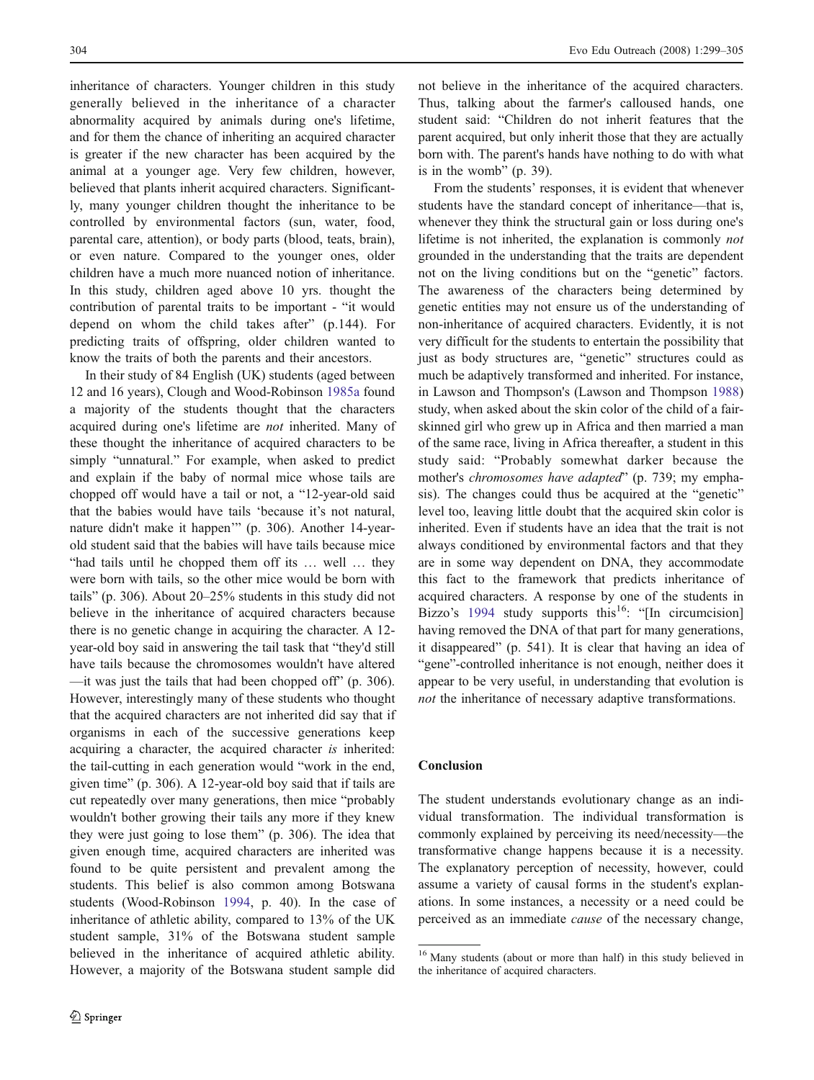inheritance of characters. Younger children in this study generally believed in the inheritance of a character abnormality acquired by animals during one's lifetime, and for them the chance of inheriting an acquired character is greater if the new character has been acquired by the animal at a younger age. Very few children, however, believed that plants inherit acquired characters. Significantly, many younger children thought the inheritance to be controlled by environmental factors (sun, water, food, parental care, attention), or body parts (blood, teats, brain), or even nature. Compared to the younger ones, older children have a much more nuanced notion of inheritance. In this study, children aged above 10 yrs. thought the contribution of parental traits to be important - "it would depend on whom the child takes after" (p.144). For predicting traits of offspring, older children wanted to know the traits of both the parents and their ancestors.

In their study of 84 English (UK) students (aged between 12 and 16 years), Clough and Wood-Robinson [1985a](#page-6-0) found a majority of the students thought that the characters acquired during one's lifetime are not inherited. Many of these thought the inheritance of acquired characters to be simply "unnatural." For example, when asked to predict and explain if the baby of normal mice whose tails are chopped off would have a tail or not, a "12-year-old said that the babies would have tails 'because it's not natural, nature didn't make it happen'" (p. 306). Another 14-yearold student said that the babies will have tails because mice "had tails until he chopped them off its … well … they were born with tails, so the other mice would be born with tails" (p. 306). About 20–25% students in this study did not believe in the inheritance of acquired characters because there is no genetic change in acquiring the character. A 12 year-old boy said in answering the tail task that "they'd still have tails because the chromosomes wouldn't have altered —it was just the tails that had been chopped off" (p. 306). However, interestingly many of these students who thought that the acquired characters are not inherited did say that if organisms in each of the successive generations keep acquiring a character, the acquired character is inherited: the tail-cutting in each generation would "work in the end, given time" (p. 306). A 12-year-old boy said that if tails are cut repeatedly over many generations, then mice "probably wouldn't bother growing their tails any more if they knew they were just going to lose them" (p. 306). The idea that given enough time, acquired characters are inherited was found to be quite persistent and prevalent among the students. This belief is also common among Botswana students (Wood-Robinson [1994](#page-6-0), p. 40). In the case of inheritance of athletic ability, compared to 13% of the UK student sample, 31% of the Botswana student sample believed in the inheritance of acquired athletic ability. However, a majority of the Botswana student sample did

not believe in the inheritance of the acquired characters. Thus, talking about the farmer's calloused hands, one student said: "Children do not inherit features that the parent acquired, but only inherit those that they are actually born with. The parent's hands have nothing to do with what is in the womb" (p. 39).

From the students' responses, it is evident that whenever students have the standard concept of inheritance—that is, whenever they think the structural gain or loss during one's lifetime is not inherited, the explanation is commonly not grounded in the understanding that the traits are dependent not on the living conditions but on the "genetic" factors. The awareness of the characters being determined by genetic entities may not ensure us of the understanding of non-inheritance of acquired characters. Evidently, it is not very difficult for the students to entertain the possibility that just as body structures are, "genetic" structures could as much be adaptively transformed and inherited. For instance, in Lawson and Thompson's (Lawson and Thompson [1988](#page-6-0)) study, when asked about the skin color of the child of a fairskinned girl who grew up in Africa and then married a man of the same race, living in Africa thereafter, a student in this study said: "Probably somewhat darker because the mother's *chromosomes have adapted*" (p. 739; my emphasis). The changes could thus be acquired at the "genetic" level too, leaving little doubt that the acquired skin color is inherited. Even if students have an idea that the trait is not always conditioned by environmental factors and that they are in some way dependent on DNA, they accommodate this fact to the framework that predicts inheritance of acquired characters. A response by one of the students in Bizzo's [1994](#page-6-0) study supports this<sup>16</sup>: "[In circumcision] having removed the DNA of that part for many generations, it disappeared" (p. 541). It is clear that having an idea of "gene"-controlled inheritance is not enough, neither does it appear to be very useful, in understanding that evolution is not the inheritance of necessary adaptive transformations.

#### Conclusion

The student understands evolutionary change as an individual transformation. The individual transformation is commonly explained by perceiving its need/necessity—the transformative change happens because it is a necessity. The explanatory perception of necessity, however, could assume a variety of causal forms in the student's explanations. In some instances, a necessity or a need could be perceived as an immediate cause of the necessary change,

<sup>&</sup>lt;sup>16</sup> Many students (about or more than half) in this study believed in the inheritance of acquired characters.